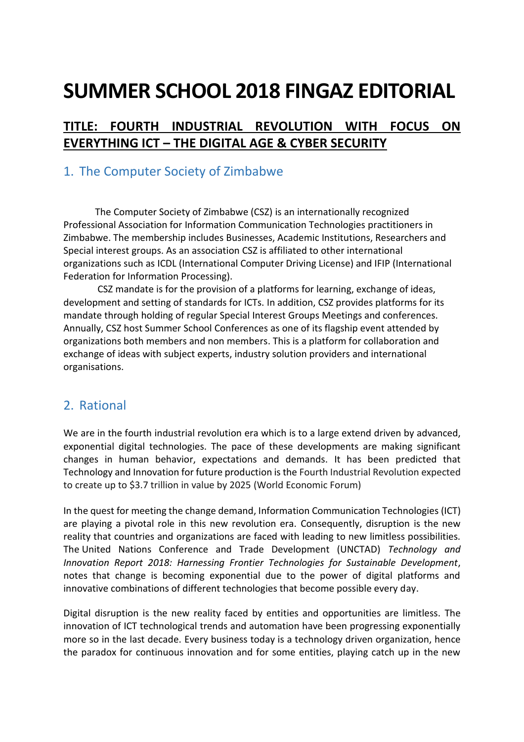# **SUMMER SCHOOL 2018 FINGAZ EDITORIAL**

## **TITLE: FOURTH INDUSTRIAL REVOLUTION WITH FOCUS ON EVERYTHING ICT – THE DIGITAL AGE & CYBER SECURITY**

#### 1. The Computer Society of Zimbabwe

The Computer Society of Zimbabwe (CSZ) is an internationally recognized Professional Association for Information Communication Technologies practitioners in Zimbabwe. The membership includes Businesses, Academic Institutions, Researchers and Special interest groups. As an association CSZ is affiliated to other international organizations such as ICDL (International Computer Driving License) and IFIP (International Federation for Information Processing).

CSZ mandate is for the provision of a platforms for learning, exchange of ideas, development and setting of standards for ICTs. In addition, CSZ provides platforms for its mandate through holding of regular Special Interest Groups Meetings and conferences. Annually, CSZ host Summer School Conferences as one of its flagship event attended by organizations both members and non members. This is a platform for collaboration and exchange of ideas with subject experts, industry solution providers and international organisations.

### 2. Rational

We are in the fourth industrial revolution era which is to a large extend driven by advanced, exponential digital technologies. The pace of these developments are making significant changes in human behavior, expectations and demands. It has been predicted that Technology and Innovation for future production is the Fourth Industrial Revolution expected to create up to \$3.7 trillion in value by 2025 (World Economic Forum)

In the quest for meeting the change demand, Information Communication Technologies (ICT) are playing a pivotal role in this new revolution era. Consequently, disruption is the new reality that countries and organizations are faced with leading to new limitless possibilities. The United Nations Conference and Trade Development (UNCTAD) *Technology and Innovation Report 2018: Harnessing Frontier Technologies for Sustainable Development*, notes that change is becoming exponential due to the power of digital platforms and innovative combinations of different technologies that become possible every day.

Digital disruption is the new reality faced by entities and opportunities are limitless. The innovation of ICT technological trends and automation have been progressing exponentially more so in the last decade. Every business today is a technology driven organization, hence the paradox for continuous innovation and for some entities, playing catch up in the new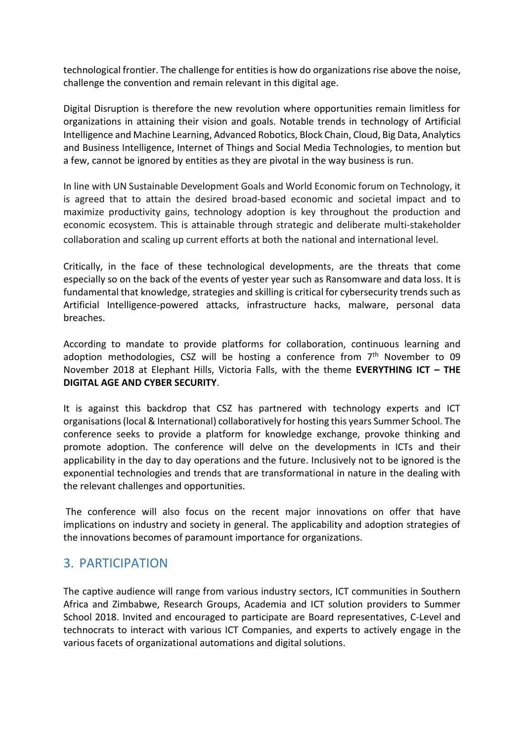technological frontier. The challenge for entities is how do organizations rise above the noise, challenge the convention and remain relevant in this digital age.

Digital Disruption is therefore the new revolution where opportunities remain limitless for organizations in attaining their vision and goals. Notable trends in technology of Artificial Intelligence and Machine Learning, Advanced Robotics, Block Chain, Cloud, Big Data, Analytics and Business Intelligence, Internet of Things and Social Media Technologies, to mention but a few, cannot be ignored by entities as they are pivotal in the way business is run.

In line with UN Sustainable Development Goals and World Economic forum on Technology, it is agreed that to attain the desired broad-based economic and societal impact and to maximize productivity gains, technology adoption is key throughout the production and economic ecosystem. This is attainable through strategic and deliberate multi-stakeholder collaboration and scaling up current efforts at both the national and international level.

Critically, in the face of these technological developments, are the threats that come especially so on the back of the events of yester year such as Ransomware and data loss. It is fundamental that knowledge, strategies and skilling is critical for cybersecurity trends such as Artificial Intelligence-powered attacks, infrastructure hacks, malware, personal data breaches.

According to mandate to provide platforms for collaboration, continuous learning and adoption methodologies, CSZ will be hosting a conference from  $7<sup>th</sup>$  November to 09 November 2018 at Elephant Hills, Victoria Falls, with the theme **EVERYTHING ICT – THE DIGITAL AGE AND CYBER SECURITY**.

It is against this backdrop that CSZ has partnered with technology experts and ICT organisations (local & International) collaboratively for hosting this years Summer School. The conference seeks to provide a platform for knowledge exchange, provoke thinking and promote adoption. The conference will delve on the developments in ICTs and their applicability in the day to day operations and the future. Inclusively not to be ignored is the exponential technologies and trends that are transformational in nature in the dealing with the relevant challenges and opportunities.

The conference will also focus on the recent major innovations on offer that have implications on industry and society in general. The applicability and adoption strategies of the innovations becomes of paramount importance for organizations.

#### 3. PARTICIPATION

The captive audience will range from various industry sectors, ICT communities in Southern Africa and Zimbabwe, Research Groups, Academia and ICT solution providers to Summer School 2018. Invited and encouraged to participate are Board representatives, C-Level and technocrats to interact with various ICT Companies, and experts to actively engage in the various facets of organizational automations and digital solutions.